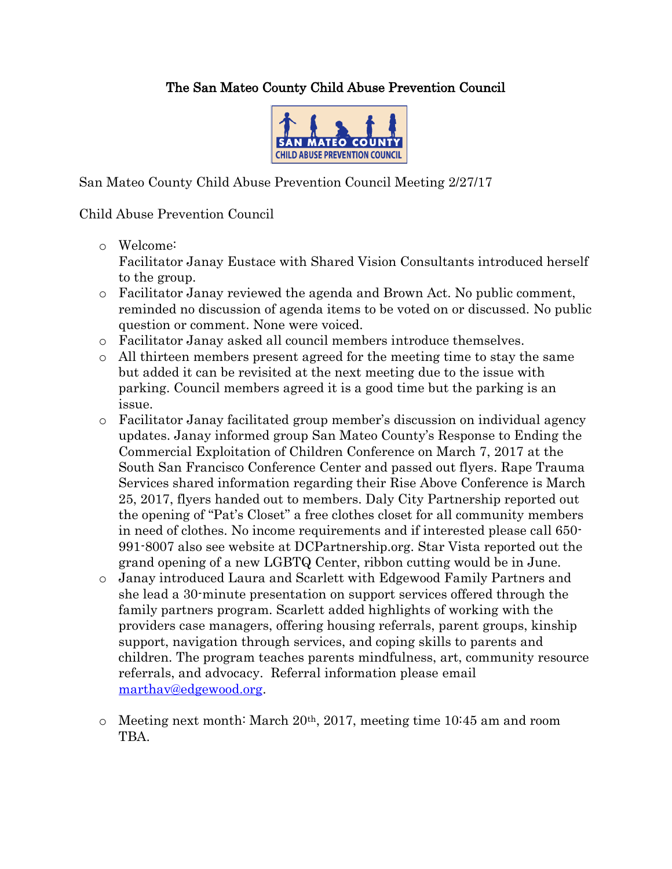## The San Mateo County Child Abuse Prevention Council



San Mateo County Child Abuse Prevention Council Meeting 2/27/17

## Child Abuse Prevention Council

o Welcome:

Facilitator Janay Eustace with Shared Vision Consultants introduced herself to the group.

- o Facilitator Janay reviewed the agenda and Brown Act. No public comment, reminded no discussion of agenda items to be voted on or discussed. No public question or comment. None were voiced.
- o Facilitator Janay asked all council members introduce themselves.
- o All thirteen members present agreed for the meeting time to stay the same but added it can be revisited at the next meeting due to the issue with parking. Council members agreed it is a good time but the parking is an issue.
- o Facilitator Janay facilitated group member's discussion on individual agency updates. Janay informed group San Mateo County's Response to Ending the Commercial Exploitation of Children Conference on March 7, 2017 at the South San Francisco Conference Center and passed out flyers. Rape Trauma Services shared information regarding their Rise Above Conference is March 25, 2017, flyers handed out to members. Daly City Partnership reported out the opening of "Pat's Closet" a free clothes closet for all community members in need of clothes. No income requirements and if interested please call 650- 991-8007 also see website at DCPartnership.org. Star Vista reported out the grand opening of a new LGBTQ Center, ribbon cutting would be in June.
- o Janay introduced Laura and Scarlett with Edgewood Family Partners and she lead a 30-minute presentation on support services offered through the family partners program. Scarlett added highlights of working with the providers case managers, offering housing referrals, parent groups, kinship support, navigation through services, and coping skills to parents and children. The program teaches parents mindfulness, art, community resource referrals, and advocacy. Referral information please email [marthav@edgewood.org.](mailto:marthav@edgewood.org)
- o Meeting next month: March 20th, 2017, meeting time 10:45 am and room TBA.